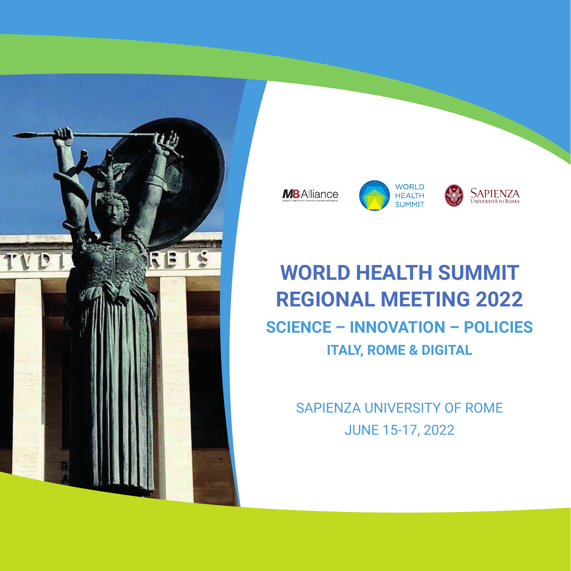



# **WORLD HEALTH SUMMIT REGIONAL MEETING 2022 SCIENCE – INNOVATION – POLICIES ITALY, ROME & DIGITAL**

SAPIENZA UNIVERSITY OF ROME JUNE 15-17, 2022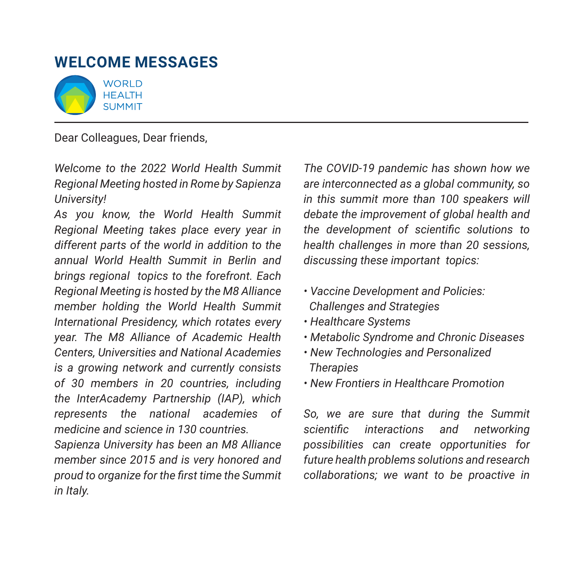## **WELCOME MESSAGES**



Dear Colleagues, Dear friends,

*Welcome to the 2022 World Health Summit Regional Meeting hosted in Rome by Sapienza University!* 

*As you know, the World Health Summit Regional Meeting takes place every year in different parts of the world in addition to the annual World Health Summit in Berlin and brings regional topics to the forefront. Each Regional Meeting is hosted by the M8 Alliance member holding the World Health Summit International Presidency, which rotates every year. The M8 Alliance of Academic Health Centers, Universities and National Academies is a growing network and currently consists of 30 members in 20 countries, including the InterAcademy Partnership (IAP), which represents the national academies of medicine and science in 130 countries.*

*Sapienza University has been an M8 Alliance member since 2015 and is very honored and proud to organize for the first time the Summit in Italy.* 

*The COVID-19 pandemic has shown how we are interconnected as a global community, so in this summit more than 100 speakers will debate the improvement of global health and the development of scientific solutions to health challenges in more than 20 sessions, discussing these important topics:*

- *Vaccine Development and Policies: Challenges and Strategies*
- *Healthcare Systems*
- *Metabolic Syndrome and Chronic Diseases*
- *New Technologies and Personalized Therapies*
- *New Frontiers in Healthcare Promotion*

*So, we are sure that during the Summit scientific interactions and networking possibilities can create opportunities for future health problems solutions and research collaborations; we want to be proactive in*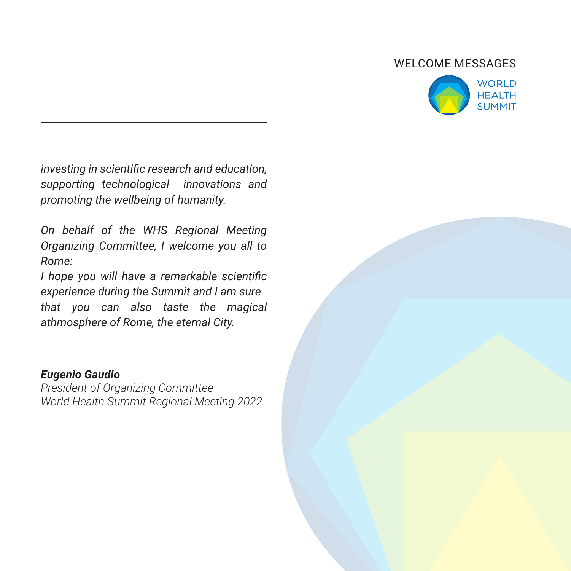#### WELCOME MESSAGES



*investing in scientific research and education, supporting technological innovations and promoting the wellbeing of humanity.* 

*On behalf of the WHS Regional Meeting Organizing Committee, I welcome you all to Rome:* 

*I hope you will have a remarkable scientific experience during the Summit and I am sure that you can also taste the magical athmosphere of Rome, the eternal City.*

#### *Eugenio Gaudio*

*President of Organizing Committee World Health Summit Regional Meeting 2022*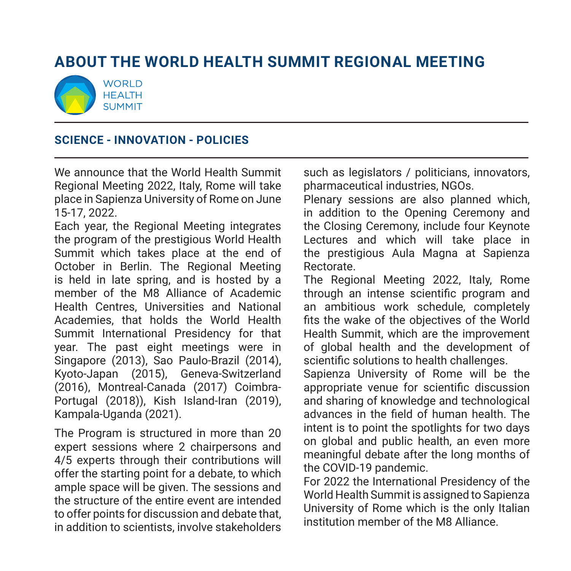# **ABOUT The World Health Summit Regional Meeting**



#### **SCIENCE - INNOVATION - POLICIES**

We announce that the World Health Summit Regional Meeting 2022, Italy, Rome will take place in Sapienza University of Rome on June 15-17, 2022.

Each year, the Regional Meeting integrates the program of the prestigious World Health Summit which takes place at the end of October in Berlin. The Regional Meeting is held in late spring, and is hosted by a member of the M8 Alliance of Academic Health Centres, Universities and National Academies, that holds the World Health Summit International Presidency for that year. The past eight meetings were in Singapore (2013), Sao Paulo-Brazil (2014), Kyoto-Japan (2015), Geneva-Switzerland (2016), Montreal-Canada (2017) Coimbra-Portugal (2018)), Kish Island-Iran (2019), Kampala-Uganda (2021).

The Program is structured in more than 20 expert sessions where 2 chairpersons and 4/5 experts through their contributions will offer the starting point for a debate, to which ample space will be given. The sessions and the structure of the entire event are intended to offer points for discussion and debate that, in addition to scientists, involve stakeholders such as legislators / politicians, innovators, pharmaceutical industries, NGOs.

Plenary sessions are also planned which, in addition to the Opening Ceremony and the Closing Ceremony, include four Keynote Lectures and which will take place in the prestigious Aula Magna at Sapienza Rectorate.

The Regional Meeting 2022, Italy, Rome through an intense scientific program and an ambitious work schedule, completely fits the wake of the objectives of the World Health Summit, which are the improvement of global health and the development of scientific solutions to health challenges.

Sapienza University of Rome will be the appropriate venue for scientific discussion and sharing of knowledge and technological advances in the field of human health. The intent is to point the spotlights for two days on global and public health, an even more meaningful debate after the long months of the COVID-19 pandemic.

For 2022 the International Presidency of the World Health Summit is assigned to Sapienza University of Rome which is the only Italian institution member of the M8 Alliance.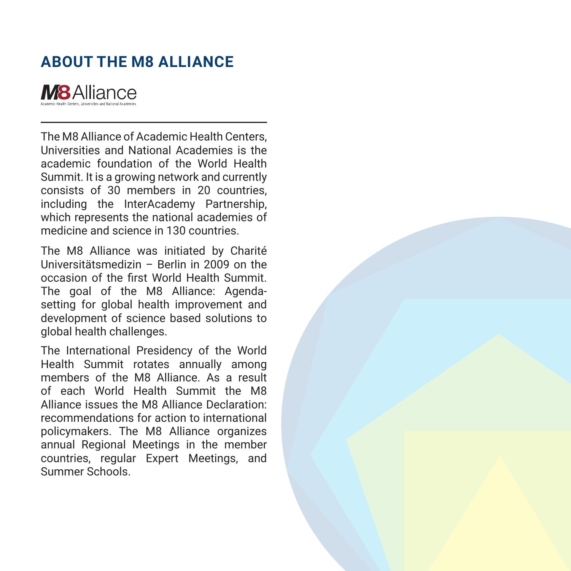# **ABOUT The M8 ALLIANCE**



The M8 Alliance of Academic Health Centers, Universities and National Academies is the academic foundation of the World Health Summit. It is a growing network and currently consists of 30 members in 20 countries, including the InterAcademy Partnership, which represents the national academies of medicine and science in 130 countries.

The M8 Alliance was initiated by Charité Universitätsmedizin – Berlin in 2009 on the occasion of the first World Health Summit. The goal of the M8 Alliance: Agendasetting for global health improvement and development of science based solutions to global health challenges.

The International Presidency of the World Health Summit rotates annually among members of the M8 Alliance. As a result of each World Health Summit the M8 Alliance issues the M8 Alliance Declaration: recommendations for action to international policymakers. The M8 Alliance organizes annual Regional Meetings in the member countries, regular Expert Meetings, and Summer Schools.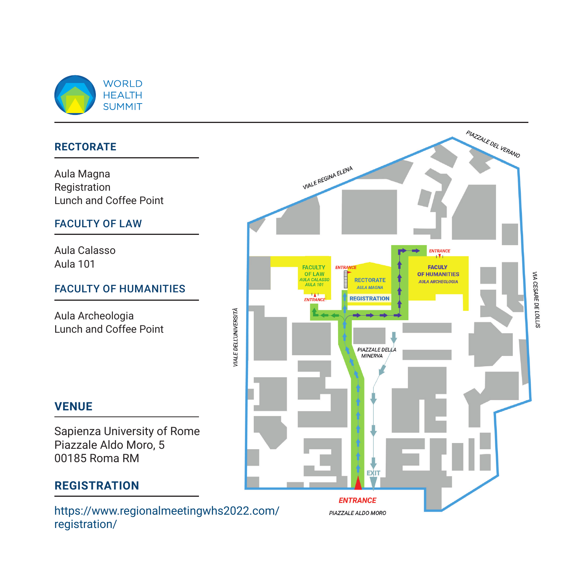

#### **Rectorate**

Aula Magna Registration Lunch and Coffee Point

#### Faculty of law

Aula Calasso Aula 101

#### Faculty of Humanities

Aula Archeologia Lunch and Coffee Point



### **Venue**

Sapienza University of Rome Piazzale Aldo Moro, 5 00185 Roma RM

### **registration**

https://www.regionalmeetingwhs2022.com/ registration/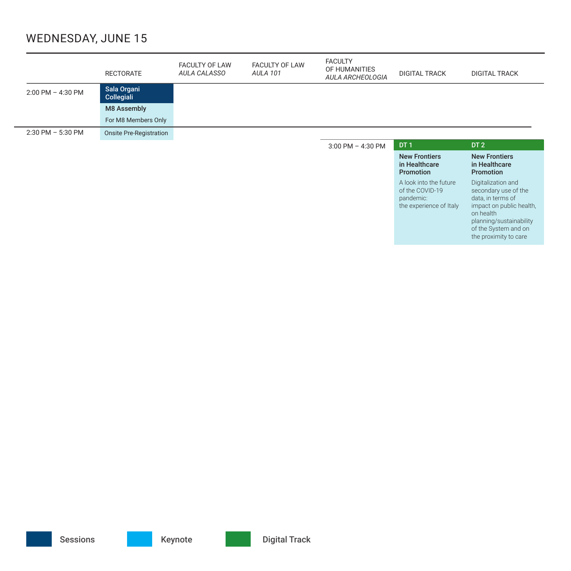### Wednesday, June 15

|                       | <b>RECTORATE</b>               | <b>FACULTY OF LAW</b><br>AULA CALASSO | <b>FACULTY OF LAW</b><br><b>AULA 101</b> | <b>FACULTY</b><br>OF HUMANITIES<br>AULA ARCHEOLOGIA | <b>DIGITAL TRACK</b>                                      | <b>DIGITAL TRACK</b>                                      |
|-----------------------|--------------------------------|---------------------------------------|------------------------------------------|-----------------------------------------------------|-----------------------------------------------------------|-----------------------------------------------------------|
| $2:00$ PM $-$ 4:30 PM | Sala Organi<br>Collegiali      |                                       |                                          |                                                     |                                                           |                                                           |
|                       | <b>M8 Assembly</b>             |                                       |                                          |                                                     |                                                           |                                                           |
|                       | For M8 Members Only            |                                       |                                          |                                                     |                                                           |                                                           |
| $2:30$ PM $-5:30$ PM  | <b>Onsite Pre-Registration</b> |                                       |                                          |                                                     |                                                           |                                                           |
|                       |                                |                                       |                                          |                                                     |                                                           |                                                           |
|                       |                                |                                       |                                          | $3:00$ PM $-$ 4:30 PM                               | DT <sub>1</sub>                                           | DT <sub>2</sub>                                           |
|                       |                                |                                       |                                          |                                                     | <b>New Frontiers</b><br>in Healthcare<br><b>Promotion</b> | <b>New Frontiers</b><br>in Healthcare<br><b>Promotion</b> |

of the System and on the proximity to care

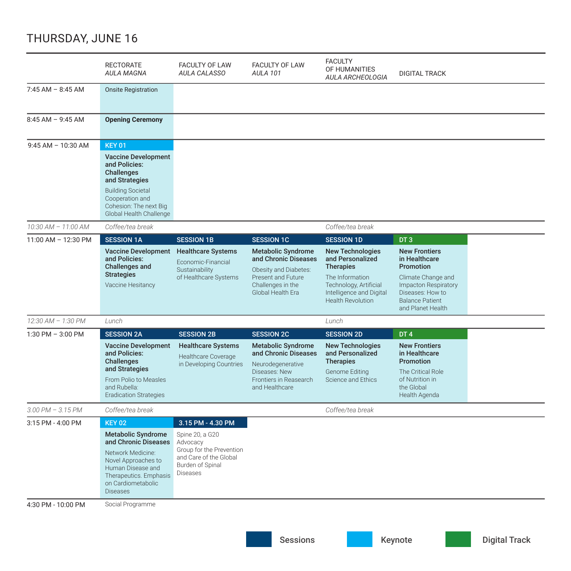### Thursday, June 16

|                       | <b>RECTORATE</b><br><b>AULA MAGNA</b>                                                                                                                                                                   | <b>FACULTY OF LAW</b><br>AULA CALASSO                                                                                                         | <b>FACULTY OF LAW</b><br><b>AULA 101</b>                                                                                                          | <b>FACULTY</b><br>OF HUMANITIES<br>AULA ARCHEOLOGIA                                                                                                                  | <b>DIGITAL TRACK</b>                                                                                                                                                |  |
|-----------------------|---------------------------------------------------------------------------------------------------------------------------------------------------------------------------------------------------------|-----------------------------------------------------------------------------------------------------------------------------------------------|---------------------------------------------------------------------------------------------------------------------------------------------------|----------------------------------------------------------------------------------------------------------------------------------------------------------------------|---------------------------------------------------------------------------------------------------------------------------------------------------------------------|--|
| $7:45$ AM $-$ 8:45 AM | <b>Onsite Registration</b>                                                                                                                                                                              |                                                                                                                                               |                                                                                                                                                   |                                                                                                                                                                      |                                                                                                                                                                     |  |
| $8:45$ AM - 9:45 AM   | <b>Opening Ceremony</b>                                                                                                                                                                                 |                                                                                                                                               |                                                                                                                                                   |                                                                                                                                                                      |                                                                                                                                                                     |  |
| $9:45$ AM $-10:30$ AM | <b>KEY 01</b><br><b>Vaccine Development</b><br>and Policies:<br><b>Challenges</b><br>and Strategies<br><b>Building Societal</b><br>Cooperation and<br>Cohesion: The next Big<br>Global Health Challenge |                                                                                                                                               |                                                                                                                                                   |                                                                                                                                                                      |                                                                                                                                                                     |  |
| 10:30 AM - 11:00 AM   | Coffee/tea break                                                                                                                                                                                        |                                                                                                                                               |                                                                                                                                                   | Coffee/tea break                                                                                                                                                     |                                                                                                                                                                     |  |
| 11:00 AM - 12:30 PM   | <b>SESSION 1A</b>                                                                                                                                                                                       | <b>SESSION 1B</b>                                                                                                                             | <b>SESSION 1C</b>                                                                                                                                 | <b>SESSION 1D</b>                                                                                                                                                    | DT <sub>3</sub>                                                                                                                                                     |  |
|                       | <b>Vaccine Development</b><br>and Policies:<br><b>Challenges and</b><br><b>Strategies</b><br>Vaccine Hesitancy                                                                                          | <b>Healthcare Systems</b><br>Economic-Financial<br>Sustainability<br>of Healthcare Systems                                                    | <b>Metabolic Syndrome</b><br>and Chronic Diseases<br>Obesity and Diabetes:<br><b>Present and Future</b><br>Challenges in the<br>Global Health Era | <b>New Technologies</b><br>and Personalized<br><b>Therapies</b><br>The Information<br>Technology, Artificial<br>Intelligence and Digital<br><b>Health Revolution</b> | <b>New Frontiers</b><br>in Healthcare<br>Promotion<br>Climate Change and<br>Impacton Respiratory<br>Diseases: How to<br><b>Balance Patient</b><br>and Planet Health |  |
| 12:30 AM - 1:30 PM    | Lunch                                                                                                                                                                                                   |                                                                                                                                               |                                                                                                                                                   | Lunch                                                                                                                                                                |                                                                                                                                                                     |  |
| 1:30 PM $-$ 3:00 PM   | <b>SESSION 2A</b>                                                                                                                                                                                       | <b>SESSION 2B</b>                                                                                                                             | <b>SESSION 2C</b>                                                                                                                                 | <b>SESSION 2D</b>                                                                                                                                                    | DT <sub>4</sub>                                                                                                                                                     |  |
|                       | <b>Vaccine Development</b><br>and Policies:<br><b>Challenges</b><br>and Strategies<br>From Polio to Measles<br>and Rubella:<br><b>Eradication Strategies</b>                                            | <b>Healthcare Systems</b><br>Healthcare Coverage<br>in Developing Countries                                                                   | <b>Metabolic Syndrome</b><br>and Chronic Diseases<br>Neurodegenerative<br>Diseases: New<br>Frontiers in Reasearch<br>and Healthcare               | <b>New Technologies</b><br>and Personalized<br><b>Therapies</b><br><b>Genome Editing</b><br>Science and Ethics                                                       | <b>New Frontiers</b><br>in Healthcare<br>Promotion<br>The Critical Role<br>of Nutrition in<br>the Global<br>Health Agenda                                           |  |
| $3.00$ PM $- 3.15$ PM | Coffee/tea break                                                                                                                                                                                        |                                                                                                                                               |                                                                                                                                                   | Coffee/tea break                                                                                                                                                     |                                                                                                                                                                     |  |
| 3:15 PM - 4:00 PM     | <b>KEY 02</b><br><b>Metabolic Syndrome</b><br>and Chronic Diseases<br>Network Medicine:<br>Novel Approaches to<br>Human Disease and<br>Therapeutics. Emphasis<br>on Cardiometabolic<br><b>Diseases</b>  | 3.15 PM - 4.30 PM<br>Spine 20, a G20<br>Advocacy<br>Group for the Prevention<br>and Care of the Global<br>Burden of Spinal<br><b>Diseases</b> |                                                                                                                                                   |                                                                                                                                                                      |                                                                                                                                                                     |  |
| 4:30 PM - 10:00 PM    | Social Programme                                                                                                                                                                                        |                                                                                                                                               |                                                                                                                                                   |                                                                                                                                                                      |                                                                                                                                                                     |  |

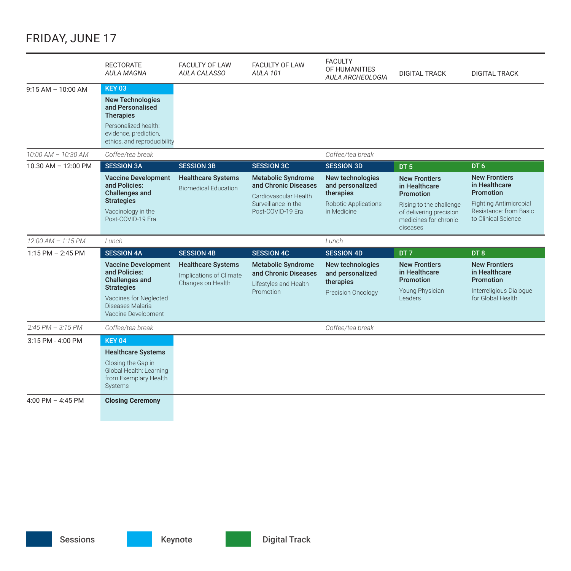### Friday, June 17

|                         | <b>RECTORATE</b><br><b>AULA MAGNA</b>                                                                                                | <b>FACULTY OF LAW</b><br>AULA CALASSO                                     | <b>FACULTY OF LAW</b><br><b>AULA 101</b>                                                                               | <b>FACULTY</b><br>OF HUMANITIES<br><b>AULA ARCHEOLOGIA</b>                                      | <b>DIGITAL TRACK</b>                                                                                                                          | <b>DIGITAL TRACK</b>                                                                                                                 |
|-------------------------|--------------------------------------------------------------------------------------------------------------------------------------|---------------------------------------------------------------------------|------------------------------------------------------------------------------------------------------------------------|-------------------------------------------------------------------------------------------------|-----------------------------------------------------------------------------------------------------------------------------------------------|--------------------------------------------------------------------------------------------------------------------------------------|
| $9:15 AM - 10:00 AM$    | <b>KEY 03</b>                                                                                                                        |                                                                           |                                                                                                                        |                                                                                                 |                                                                                                                                               |                                                                                                                                      |
|                         | <b>New Technologies</b><br>and Personalised<br><b>Therapies</b>                                                                      |                                                                           |                                                                                                                        |                                                                                                 |                                                                                                                                               |                                                                                                                                      |
|                         | Personalized health:<br>evidence, prediction,<br>ethics, and reproducibility                                                         |                                                                           |                                                                                                                        |                                                                                                 |                                                                                                                                               |                                                                                                                                      |
| $10:00$ AM $- 10:30$ AM | Coffee/tea break                                                                                                                     |                                                                           |                                                                                                                        | Coffee/tea break                                                                                |                                                                                                                                               |                                                                                                                                      |
| 10.30 AM - 12:00 PM     | <b>SESSION 3A</b>                                                                                                                    | <b>SESSION 3B</b>                                                         | <b>SESSION 3C</b>                                                                                                      | <b>SESSION 3D</b>                                                                               | DT <sub>5</sub>                                                                                                                               | DT <sub>6</sub>                                                                                                                      |
|                         | <b>Vaccine Development</b><br>and Policies:<br><b>Challenges and</b><br><b>Strategies</b><br>Vaccinology in the<br>Post-COVID-19 Era | <b>Healthcare Systems</b><br><b>Biomedical Education</b>                  | <b>Metabolic Syndrome</b><br>and Chronic Diseases<br>Cardiovascular Health<br>Surveillance in the<br>Post-COVID-19 Era | New technologies<br>and personalized<br>therapies<br><b>Robotic Applications</b><br>in Medicine | <b>New Frontiers</b><br>in Healthcare<br>Promotion<br>Rising to the challenge<br>of delivering precision<br>medicines for chronic<br>diseases | <b>New Frontiers</b><br>in Healthcare<br>Promotion<br><b>Fighting Antimicrobial</b><br>Resistance: from Basic<br>to Clinical Science |
|                         |                                                                                                                                      |                                                                           |                                                                                                                        |                                                                                                 |                                                                                                                                               |                                                                                                                                      |
| $12:00$ AM $- 1:15$ PM  | Lunch                                                                                                                                |                                                                           |                                                                                                                        | Lunch                                                                                           |                                                                                                                                               |                                                                                                                                      |
| $1:15$ PM $-2:45$ PM    | <b>SESSION 4A</b>                                                                                                                    | <b>SESSION 4B</b>                                                         | <b>SESSION 4C</b>                                                                                                      | <b>SESSION 4D</b>                                                                               | DT <sub>7</sub>                                                                                                                               | DT <sub>8</sub>                                                                                                                      |
|                         | <b>Vaccine Development</b><br>and Policies:<br><b>Challenges and</b>                                                                 | <b>Healthcare Systems</b><br>Implications of Climate<br>Changes on Health | <b>Metabolic Syndrome</b><br>and Chronic Diseases<br>Lifestyles and Health                                             | New technologies<br>and personalized<br>therapies                                               | <b>New Frontiers</b><br>in Healthcare<br>Promotion                                                                                            | <b>New Frontiers</b><br>in Healthcare<br>Promotion                                                                                   |
|                         | <b>Strategies</b><br>Vaccines for Neglected<br>Diseases Malaria<br>Vaccine Development                                               |                                                                           | Promotion                                                                                                              | Precision Oncology                                                                              | Young Physician<br>Leaders                                                                                                                    | Interreligious Dialogue<br>for Global Health                                                                                         |
| $2:45 PM - 3:15 PM$     | Coffee/tea break                                                                                                                     |                                                                           |                                                                                                                        | Coffee/tea break                                                                                |                                                                                                                                               |                                                                                                                                      |
| 3:15 PM - 4:00 PM       | <b>KEY 04</b>                                                                                                                        |                                                                           |                                                                                                                        |                                                                                                 |                                                                                                                                               |                                                                                                                                      |
|                         | <b>Healthcare Systems</b>                                                                                                            |                                                                           |                                                                                                                        |                                                                                                 |                                                                                                                                               |                                                                                                                                      |
|                         | Closing the Gap in<br>Global Health: Learning<br>from Exemplary Health<br>Systems                                                    |                                                                           |                                                                                                                        |                                                                                                 |                                                                                                                                               |                                                                                                                                      |